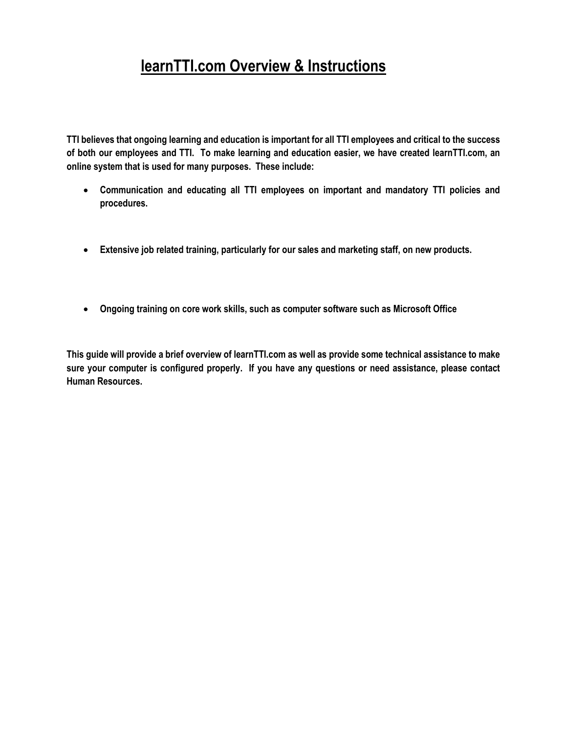# **learnTTI.com Overview & Instructions**

**TTI believes that ongoing learning and education is important for all TTI employees and critical to the success of both our employees and TTI. To make learning and education easier, we have created learnTTI.com, an online system that is used for many purposes. These include:**

- **Communication and educating all TTI employees on important and mandatory TTI policies and procedures.**
- **Extensive job related training, particularly for our sales and marketing staff, on new products.**
- **Ongoing training on core work skills, such as computer software such as Microsoft Office**

**This guide will provide a brief overview of learnTTI.com as well as provide some technical assistance to make sure your computer is configured properly. If you have any questions or need assistance, please contact Human Resources.**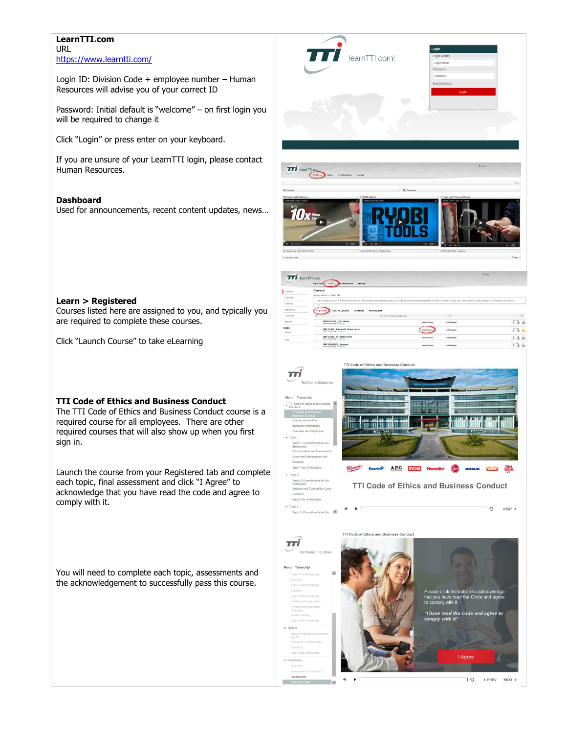#### **LearnTTI.com** URL <https://www.learntti.com/>

Login ID: Division Code + employee number – Human Resources will advise you of your correct ID

Password: Initial default is "welcome" – on first login you will be required to change it

Click "Login" or press enter on your keyboard.

If you are unsure of your LearnTTI login, please contact Human Resources.

#### **Dashboard**

Used for announcements, recent content updates, news…



O « PREV NEXT »

#### **Learn > Registered**

Courses listed here are assigned to you, and typically you are required to complete these courses.

Click "Launch Course" to take eLearning

#### **TTI Code of Ethics and Business Conduct**

The TTI Code of Ethics and Business Conduct course is a required course for all employees. There are other required courses that will also show up when you first sign in.

Launch the course from your Registered tab and complete each topic, final assessment and click "I Agree" to acknowledge that you have read the code and agree to comply with it.

You will need to complete each topic, assessments and the acknowledgement to successfully pass this course.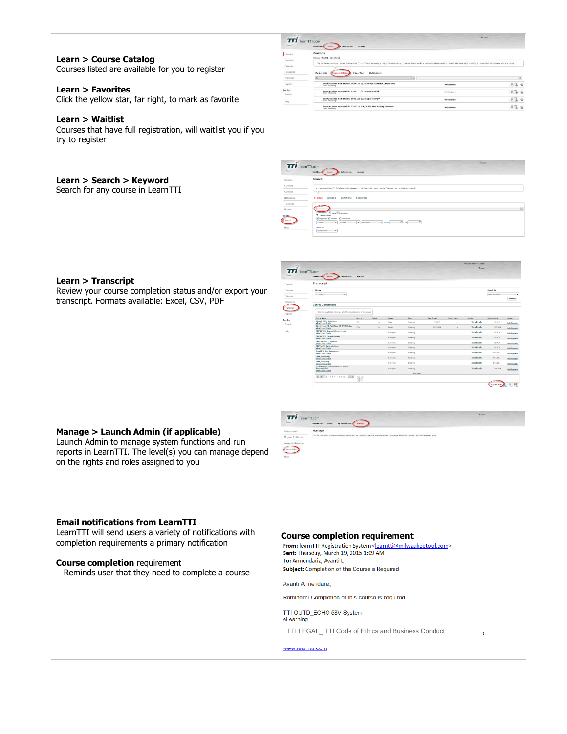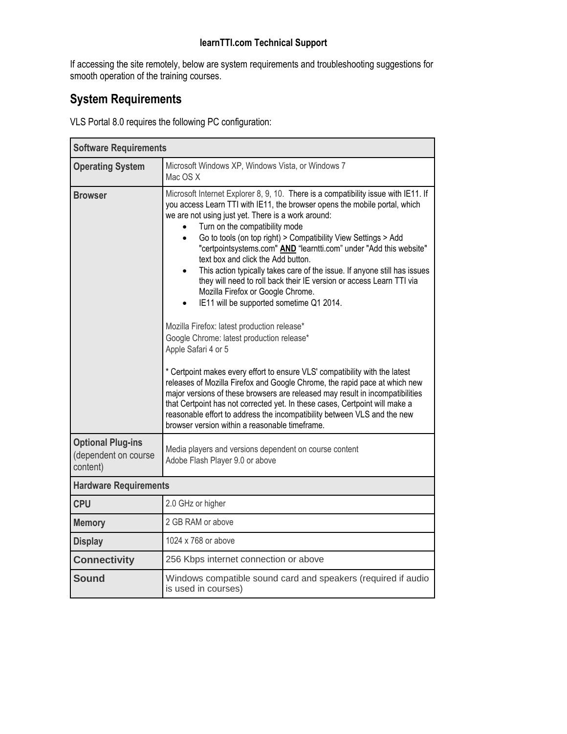### **learnTTI.com Technical Support**

If accessing the site remotely, below are system requirements and troubleshooting suggestions for smooth operation of the training courses.

## **System Requirements**

VLS Portal 8.0 requires the following PC configuration:

| <b>Software Requirements</b>                                 |                                                                                                                                                                                                                                                                                                                                                                                                                                                                                                                                                                                                                                                                                                                                                                                                                                                                                                                                                                                                                                                                                                                                                                                                                                                                                      |
|--------------------------------------------------------------|--------------------------------------------------------------------------------------------------------------------------------------------------------------------------------------------------------------------------------------------------------------------------------------------------------------------------------------------------------------------------------------------------------------------------------------------------------------------------------------------------------------------------------------------------------------------------------------------------------------------------------------------------------------------------------------------------------------------------------------------------------------------------------------------------------------------------------------------------------------------------------------------------------------------------------------------------------------------------------------------------------------------------------------------------------------------------------------------------------------------------------------------------------------------------------------------------------------------------------------------------------------------------------------|
| <b>Operating System</b>                                      | Microsoft Windows XP, Windows Vista, or Windows 7<br>Mac OS X                                                                                                                                                                                                                                                                                                                                                                                                                                                                                                                                                                                                                                                                                                                                                                                                                                                                                                                                                                                                                                                                                                                                                                                                                        |
| <b>Browser</b>                                               | Microsoft Internet Explorer 8, 9, 10. There is a compatibility issue with IE11. If<br>you access Learn TTI with IE11, the browser opens the mobile portal, which<br>we are not using just yet. There is a work around:<br>Turn on the compatibility mode<br>Go to tools (on top right) > Compatibility View Settings > Add<br>$\bullet$<br>"certpointsystems.com" AND "learntti.com" under "Add this website"<br>text box and click the Add button.<br>This action typically takes care of the issue. If anyone still has issues<br>$\bullet$<br>they will need to roll back their IE version or access Learn TTI via<br>Mozilla Firefox or Google Chrome.<br>IE11 will be supported sometime Q1 2014.<br>Mozilla Firefox: latest production release*<br>Google Chrome: latest production release*<br>Apple Safari 4 or 5<br>* Certpoint makes every effort to ensure VLS' compatibility with the latest<br>releases of Mozilla Firefox and Google Chrome, the rapid pace at which new<br>major versions of these browsers are released may result in incompatibilities<br>that Certpoint has not corrected yet. In these cases, Certpoint will make a<br>reasonable effort to address the incompatibility between VLS and the new<br>browser version within a reasonable timeframe. |
| <b>Optional Plug-ins</b><br>(dependent on course<br>content) | Media players and versions dependent on course content<br>Adobe Flash Player 9.0 or above                                                                                                                                                                                                                                                                                                                                                                                                                                                                                                                                                                                                                                                                                                                                                                                                                                                                                                                                                                                                                                                                                                                                                                                            |
| <b>Hardware Requirements</b>                                 |                                                                                                                                                                                                                                                                                                                                                                                                                                                                                                                                                                                                                                                                                                                                                                                                                                                                                                                                                                                                                                                                                                                                                                                                                                                                                      |
| <b>CPU</b>                                                   | 2.0 GHz or higher                                                                                                                                                                                                                                                                                                                                                                                                                                                                                                                                                                                                                                                                                                                                                                                                                                                                                                                                                                                                                                                                                                                                                                                                                                                                    |
| <b>Memory</b>                                                | 2 GB RAM or above                                                                                                                                                                                                                                                                                                                                                                                                                                                                                                                                                                                                                                                                                                                                                                                                                                                                                                                                                                                                                                                                                                                                                                                                                                                                    |
| <b>Display</b>                                               | 1024 x 768 or above                                                                                                                                                                                                                                                                                                                                                                                                                                                                                                                                                                                                                                                                                                                                                                                                                                                                                                                                                                                                                                                                                                                                                                                                                                                                  |
| <b>Connectivity</b>                                          | 256 Kbps internet connection or above                                                                                                                                                                                                                                                                                                                                                                                                                                                                                                                                                                                                                                                                                                                                                                                                                                                                                                                                                                                                                                                                                                                                                                                                                                                |
| <b>Sound</b>                                                 | Windows compatible sound card and speakers (required if audio<br>is used in courses)                                                                                                                                                                                                                                                                                                                                                                                                                                                                                                                                                                                                                                                                                                                                                                                                                                                                                                                                                                                                                                                                                                                                                                                                 |